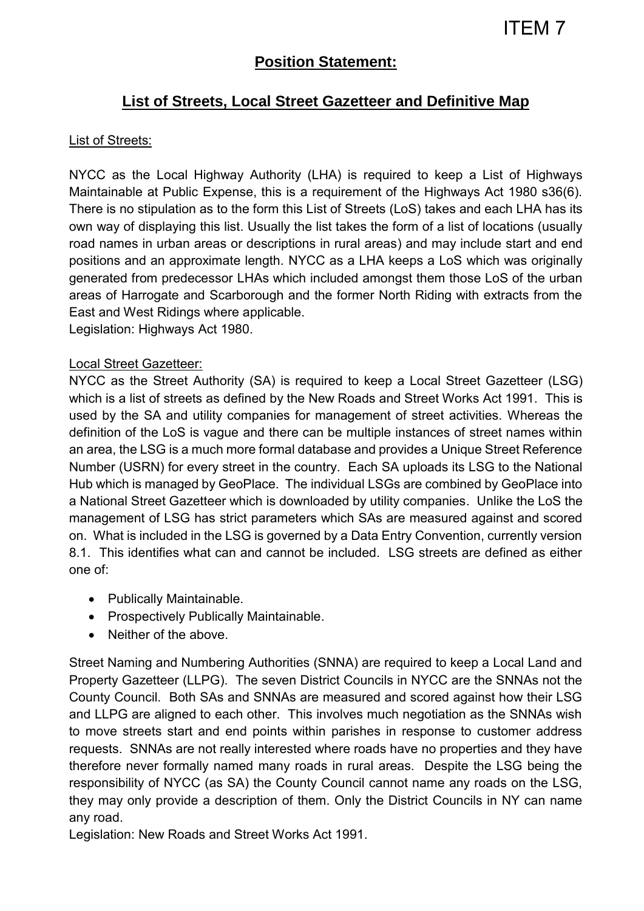# **Position Statement:**

# **List of Streets, Local Street Gazetteer and Definitive Map**

#### List of Streets:

NYCC as the Local Highway Authority (LHA) is required to keep a List of Highways Maintainable at Public Expense, this is a requirement of the Highways Act 1980 s36(6). There is no stipulation as to the form this List of Streets (LoS) takes and each LHA has its own way of displaying this list. Usually the list takes the form of a list of locations (usually road names in urban areas or descriptions in rural areas) and may include start and end positions and an approximate length. NYCC as a LHA keeps a LoS which was originally generated from predecessor LHAs which included amongst them those LoS of the urban areas of Harrogate and Scarborough and the former North Riding with extracts from the East and West Ridings where applicable.

Legislation: Highways Act 1980.

#### Local Street Gazetteer:

NYCC as the Street Authority (SA) is required to keep a Local Street Gazetteer (LSG) which is a list of streets as defined by the New Roads and Street Works Act 1991. This is used by the SA and utility companies for management of street activities. Whereas the definition of the LoS is vague and there can be multiple instances of street names within an area, the LSG is a much more formal database and provides a Unique Street Reference Number (USRN) for every street in the country. Each SA uploads its LSG to the National Hub which is managed by GeoPlace. The individual LSGs are combined by GeoPlace into a National Street Gazetteer which is downloaded by utility companies. Unlike the LoS the management of LSG has strict parameters which SAs are measured against and scored on. What is included in the LSG is governed by a Data Entry Convention, currently version 8.1. This identifies what can and cannot be included. LSG streets are defined as either one of:

- Publically Maintainable.
- Prospectively Publically Maintainable.
- Neither of the above

Street Naming and Numbering Authorities (SNNA) are required to keep a Local Land and Property Gazetteer (LLPG). The seven District Councils in NYCC are the SNNAs not the County Council. Both SAs and SNNAs are measured and scored against how their LSG and LLPG are aligned to each other. This involves much negotiation as the SNNAs wish to move streets start and end points within parishes in response to customer address requests. SNNAs are not really interested where roads have no properties and they have therefore never formally named many roads in rural areas. Despite the LSG being the responsibility of NYCC (as SA) the County Council cannot name any roads on the LSG, they may only provide a description of them. Only the District Councils in NY can name any road.

Legislation: New Roads and Street Works Act 1991.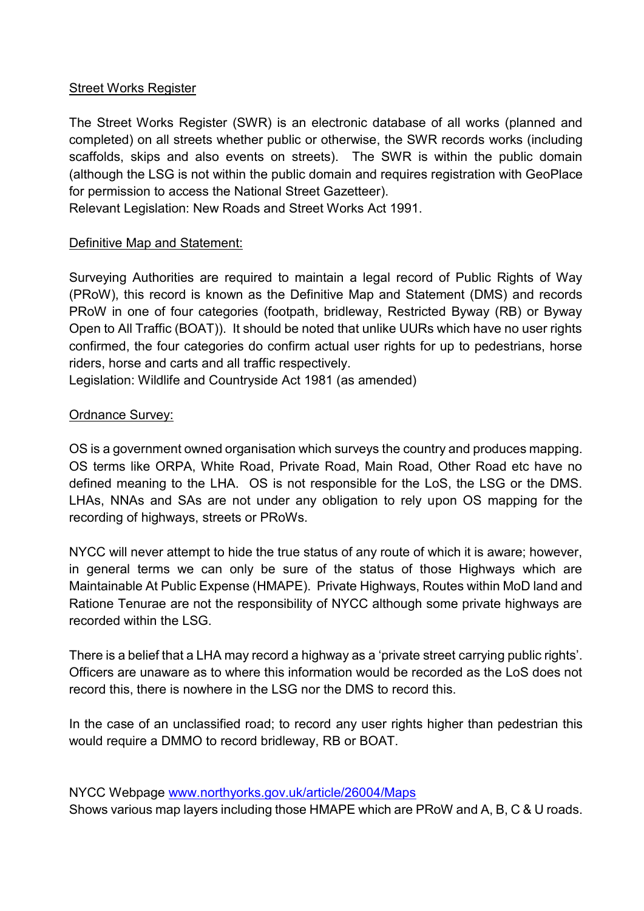### Street Works Register

The Street Works Register (SWR) is an electronic database of all works (planned and completed) on all streets whether public or otherwise, the SWR records works (including scaffolds, skips and also events on streets). The SWR is within the public domain (although the LSG is not within the public domain and requires registration with GeoPlace for permission to access the National Street Gazetteer).

Relevant Legislation: New Roads and Street Works Act 1991.

### Definitive Map and Statement:

Surveying Authorities are required to maintain a legal record of Public Rights of Way (PRoW), this record is known as the Definitive Map and Statement (DMS) and records PRoW in one of four categories (footpath, bridleway, Restricted Byway (RB) or Byway Open to All Traffic (BOAT)). It should be noted that unlike UURs which have no user rights confirmed, the four categories do confirm actual user rights for up to pedestrians, horse riders, horse and carts and all traffic respectively.

Legislation: Wildlife and Countryside Act 1981 (as amended)

## Ordnance Survey:

OS is a government owned organisation which surveys the country and produces mapping. OS terms like ORPA, White Road, Private Road, Main Road, Other Road etc have no defined meaning to the LHA. OS is not responsible for the LoS, the LSG or the DMS. LHAs, NNAs and SAs are not under any obligation to rely upon OS mapping for the recording of highways, streets or PRoWs.

NYCC will never attempt to hide the true status of any route of which it is aware; however, in general terms we can only be sure of the status of those Highways which are Maintainable At Public Expense (HMAPE). Private Highways, Routes within MoD land and Ratione Tenurae are not the responsibility of NYCC although some private highways are recorded within the LSG.

There is a belief that a LHA may record a highway as a 'private street carrying public rights'. Officers are unaware as to where this information would be recorded as the LoS does not record this, there is nowhere in the LSG nor the DMS to record this.

In the case of an unclassified road; to record any user rights higher than pedestrian this would require a DMMO to record bridleway, RB or BOAT.

NYCC Webpage [www.northyorks.gov.uk/article/26004/Maps](http://www.northyorks.gov.uk/article/26004/Maps) 

Shows various map layers including those HMAPE which are PRoW and A, B, C & U roads.